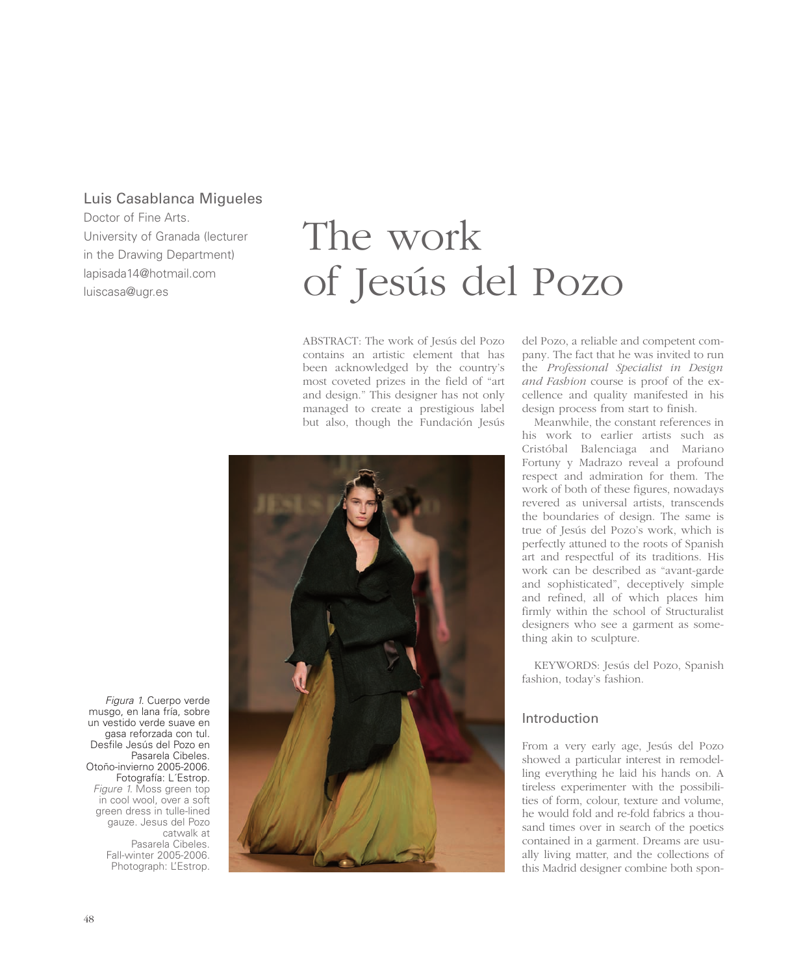## Luis Casablanca Migueles

Doctor of Fine Arts. University of Granada (lecturer in the Drawing Department) lapisada14@hotmail.com luiscasa@ugr.es

# The work of Jesús del Pozo

ABSTRACT: The work of Jesús del Pozo contains an artistic element that has been acknowledged by the country's most coveted prizes in the field of "art and design." This designer has not only managed to create a prestigious label but also, though the Fundación Jesús



del Pozo, a reliable and competent company. The fact that he was invited to run the *Professional Specialist in Design and Fashion* course is proof of the excellence and quality manifested in his design process from start to finish.

Meanwhile, the constant references in his work to earlier artists such as Cristóbal Balenciaga and Mariano Fortuny y Madrazo reveal a profound respect and admiration for them. The work of both of these figures, nowadays revered as universal artists, transcends the boundaries of design. The same is true of Jesús del Pozo's work, which is perfectly attuned to the roots of Spanish art and respectful of its traditions. His work can be described as "avant-garde and sophisticated", deceptively simple and refined, all of which places him firmly within the school of Structuralist designers who see a garment as something akin to sculpture.

KEYWORDS: Jesús del Pozo, Spanish fashion, today's fashion.

## Introduction

From a very early age, Jesús del Pozo showed a particular interest in remodelling everything he laid his hands on. A tireless experimenter with the possibilities of form, colour, texture and volume, he would fold and re-fold fabrics a thousand times over in search of the poetics contained in a garment. Dreams are usually living matter, and the collections of this Madrid designer combine both spon-

Figura 1. Cuerpo verde musgo, en lana fría, sobre un vestido verde suave en gasa reforzada con tul. Desfile Jesús del Pozo en Pasarela Cibeles. Otoño-invierno 2005-2006. Fotografía: L´Estrop. Figure 1. Moss green top in cool wool, over a soft green dress in tulle-lined gauze. Jesus del Pozo catwalk at Pasarela Cibeles. Fall-winter 2005-2006. Photograph: L'Estrop.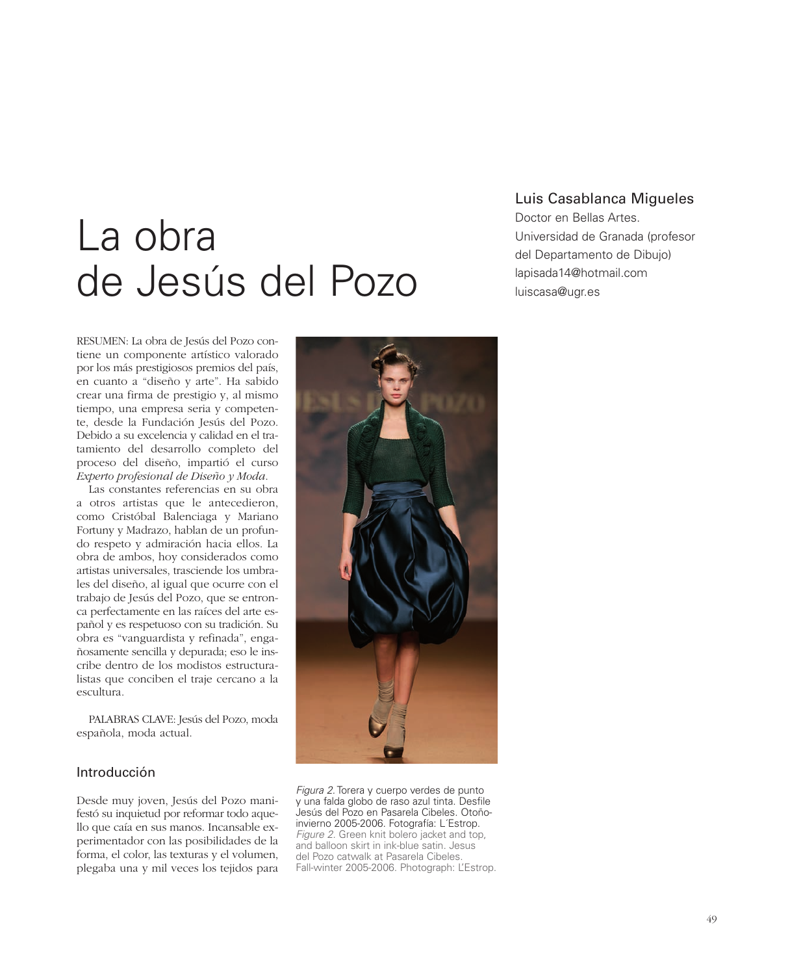## La obra de Jesús del Pozo

RESUMEN: La obra de Jesús del Pozo contiene un componente artístico valorado por los más prestigiosos premios del país, en cuanto a "diseño y arte". Ha sabido crear una firma de prestigio y, al mismo tiempo, una empresa seria y competente, desde la Fundación Jesús del Pozo. Debido a su excelencia y calidad en el tratamiento del desarrollo completo del proceso del diseño, impartió el curso *Experto profesional de Diseño y Moda*.

Las constantes referencias en su obra a otros artistas que le antecedieron, como Cristóbal Balenciaga y Mariano Fortuny y Madrazo, hablan de un profundo respeto y admiración hacia ellos. La obra de ambos, hoy considerados como artistas universales, trasciende los umbrales del diseño, al igual que ocurre con el trabajo de Jesús del Pozo, que se entronca perfectamente en las raíces del arte español y es respetuoso con su tradición. Su obra es "vanguardista y refinada", engañosamente sencilla y depurada; eso le inscribe dentro de los modistos estructuralistas que conciben el traje cercano a la escultura.

PALABRAS CLAVE: Jesús del Pozo, moda española, moda actual.

## Introducción

Desde muy joven, Jesús del Pozo manifestó su inquietud por reformar todo aquello que caía en sus manos. Incansable experimentador con las posibilidades de la forma, el color, las texturas y el volumen, plegaba una y mil veces los tejidos para



Figura 2. Torera y cuerpo verdes de punto y una falda globo de raso azul tinta. Desfile Jesús del Pozo en Pasarela Cibeles. Otoñoinvierno 2005-2006. Fotografía: L´Estrop. Figure 2. Green knit bolero jacket and top, and balloon skirt in ink-blue satin. Jesus del Pozo catwalk at Pasarela Cibeles. Fall-winter 2005-2006. Photograph: L'Estrop.

## Luis Casablanca Migueles

Doctor en Bellas Artes. Universidad de Granada (profesor del Departamento de Dibujo) lapisada14@hotmail.com luiscasa@ugr.es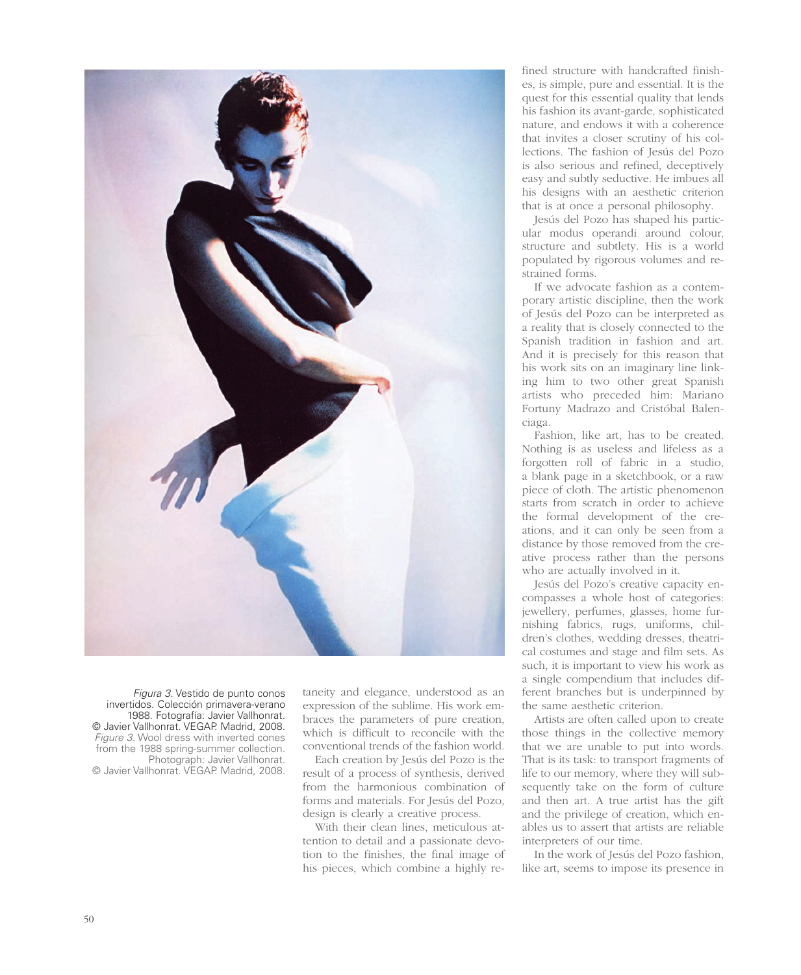

*Figura 3. Vestido de punto conos invertidos. Colección primavera-verano 1988. Fotografía: Javier Vallhonrat. © Javier Vallhonrat. VEGAP. Madrid, 2008. Figure 3. Wool dress with inverted cones from the 1988 spring-summer collection. Photograph: Javier Vallhonrat. © Javier Vallhonrat. VEGAP. Madrid, 2008.*

taneity and elegance, understood as an expression of the sublime. His work embraces the parameters of pure creation, which is difficult to reconcile with the conventional trends of the fashion world.

Each creation by Jesús del Pozo is the result of a process of synthesis, derived from the harmonious combination of forms and materials. For Jesús del Pozo, design is clearly a creative process.

With their clean lines, meticulous attention to detail and a passionate devotion to the finishes, the final image of his pieces, which combine a highly re-

fined structure with handcrafted finishes, is simple, pure and essential. It is the quest for this essential quality that lends his fashion its avant-garde, sophisticated nature, and endows it with a coherence that invites a closer scrutiny of his collections. The fashion of Jesús del Pozo is also serious and refined, deceptively easy and subtly seductive. He imbues all his designs with an aesthetic criterion that is at once a personal philosophy.

Jesús del Pozo has shaped his particular modus operandi around colour, structure and subtlety. His is a world populated by rigorous volumes and restrained forms.

If we advocate fashion as a contemporary artistic discipline, then the work of Jesús del Pozo can be interpreted as a reality that is closely connected to the Spanish tradition in fashion and art. And it is precisely for this reason that his work sits on an imaginary line linking him to two other great Spanish artists who preceded him: Mariano Fortuny Madrazo and Cristóbal Balenciaga.

Fashion, like art, has to be created. Nothing is as useless and lifeless as a forgotten roll of fabric in a studio, a blank page in a sketchbook, or a raw piece of cloth. The artistic phenomenon starts from scratch in order to achieve the formal development of the creations, and it can only be seen from a distance by those removed from the creative process rather than the persons who are actually involved in it.

Jesús del Pozo's creative capacity encompasses a whole host of categories: jewellery, perfumes, glasses, home furnishing fabrics, rugs, uniforms, children's clothes, wedding dresses, theatrical costumes and stage and film sets. As such, it is important to view his work as a single compendium that includes different branches but is underpinned by the same aesthetic criterion.

Artists are often called upon to create those things in the collective memory that we are unable to put into words. That is its task: to transport fragments of life to our memory, where they will subsequently take on the form of culture and then art. A true artist has the gift and the privilege of creation, which enables us to assert that artists are reliable interpreters of our time.

In the work of Jesús del Pozo fashion, like art, seems to impose its presence in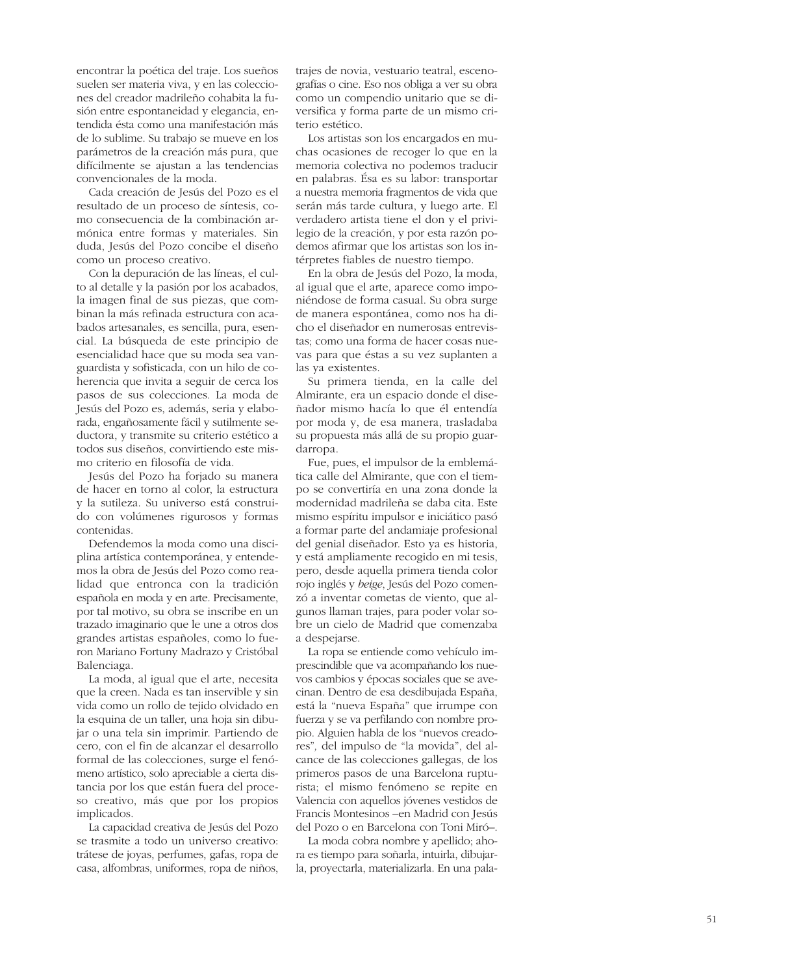encontrar la poética del traje. Los sueños suelen ser materia viva, y en las colecciones del creador madrileño cohabita la fusión entre espontaneidad y elegancia, entendida ésta como una manifestación más de lo sublime. Su trabajo se mueve en los parámetros de la creación más pura, que difícilmente se ajustan a las tendencias convencionales de la moda.

Cada creación de Jesús del Pozo es el resultado de un proceso de síntesis, como consecuencia de la combinación armónica entre formas y materiales. Sin duda, Jesús del Pozo concibe el diseño como un proceso creativo.

Con la depuración de las líneas, el culto al detalle y la pasión por los acabados, la imagen final de sus piezas, que combinan la más refinada estructura con acabados artesanales, es sencilla, pura, esencial. La búsqueda de este principio de esencialidad hace que su moda sea vanguardista y sofisticada, con un hilo de coherencia que invita a seguir de cerca los pasos de sus colecciones. La moda de Jesús del Pozo es, además, seria y elaborada, engañosamente fácil y sutilmente seductora, y transmite su criterio estético a todos sus diseños, convirtiendo este mismo criterio en filosofía de vida.

Jesús del Pozo ha forjado su manera de hacer en torno al color, la estructura y la sutileza. Su universo está construido con volúmenes rigurosos y formas contenidas.

Defendemos la moda como una disciplina artística contemporánea, y entendemos la obra de Jesús del Pozo como realidad que entronca con la tradición española en moda y en arte. Precisamente, por tal motivo, su obra se inscribe en un trazado imaginario que le une a otros dos grandes artistas españoles, como lo fueron Mariano Fortuny Madrazo y Cristóbal Balenciaga.

La moda, al igual que el arte, necesita que la creen. Nada es tan inservible y sin vida como un rollo de tejido olvidado en la esquina de un taller, una hoja sin dibujar o una tela sin imprimir. Partiendo de cero, con el fin de alcanzar el desarrollo formal de las colecciones, surge el fenómeno artístico, solo apreciable a cierta distancia por los que están fuera del proceso creativo, más que por los propios implicados.

La capacidad creativa de Jesús del Pozo se trasmite a todo un universo creativo: trátese de joyas, perfumes, gafas, ropa de casa, alfombras, uniformes, ropa de niños,

trajes de novia, vestuario teatral, escenografías o cine. Eso nos obliga a ver su obra como un compendio unitario que se diversifica y forma parte de un mismo criterio estético.

Los artistas son los encargados en muchas ocasiones de recoger lo que en la memoria colectiva no podemos traducir en palabras. Ésa es su labor: transportar a nuestra memoria fragmentos de vida que serán más tarde cultura, y luego arte. El verdadero artista tiene el don y el privilegio de la creación, y por esta razón podemos afirmar que los artistas son los intérpretes fiables de nuestro tiempo.

En la obra de Jesús del Pozo, la moda, al igual que el arte, aparece como imponiéndose de forma casual. Su obra surge de manera espontánea, como nos ha dicho el diseñador en numerosas entrevistas; como una forma de hacer cosas nuevas para que éstas a su vez suplanten a las ya existentes.

Su primera tienda, en la calle del Almirante, era un espacio donde el diseñador mismo hacía lo que él entendía por moda y, de esa manera, trasladaba su propuesta más allá de su propio guardarropa.

Fue, pues, el impulsor de la emblemática calle del Almirante, que con el tiempo se convertiría en una zona donde la modernidad madrileña se daba cita. Este mismo espíritu impulsor e iniciático pasó a formar parte del andamiaje profesional del genial diseñador. Esto ya es historia, y está ampliamente recogido en mi tesis, pero, desde aquella primera tienda color rojo inglés y *beige*, Jesús del Pozo comenzó a inventar cometas de viento, que algunos llaman trajes, para poder volar sobre un cielo de Madrid que comenzaba a despejarse.

La ropa se entiende como vehículo imprescindible que va acompañando los nuevos cambios y épocas sociales que se avecinan. Dentro de esa desdibujada España, está la "nueva España" que irrumpe con fuerza y se va perfilando con nombre propio. Alguien habla de los "nuevos creadores"*,* del impulso de "la movida", del alcance de las colecciones gallegas, de los primeros pasos de una Barcelona rupturista; el mismo fenómeno se repite en Valencia con aquellos jóvenes vestidos de Francis Montesinos –en Madrid con Jesús del Pozo o en Barcelona con Toni Miró–.

La moda cobra nombre y apellido; ahora es tiempo para soñarla, intuirla, dibujarla, proyectarla, materializarla. En una pala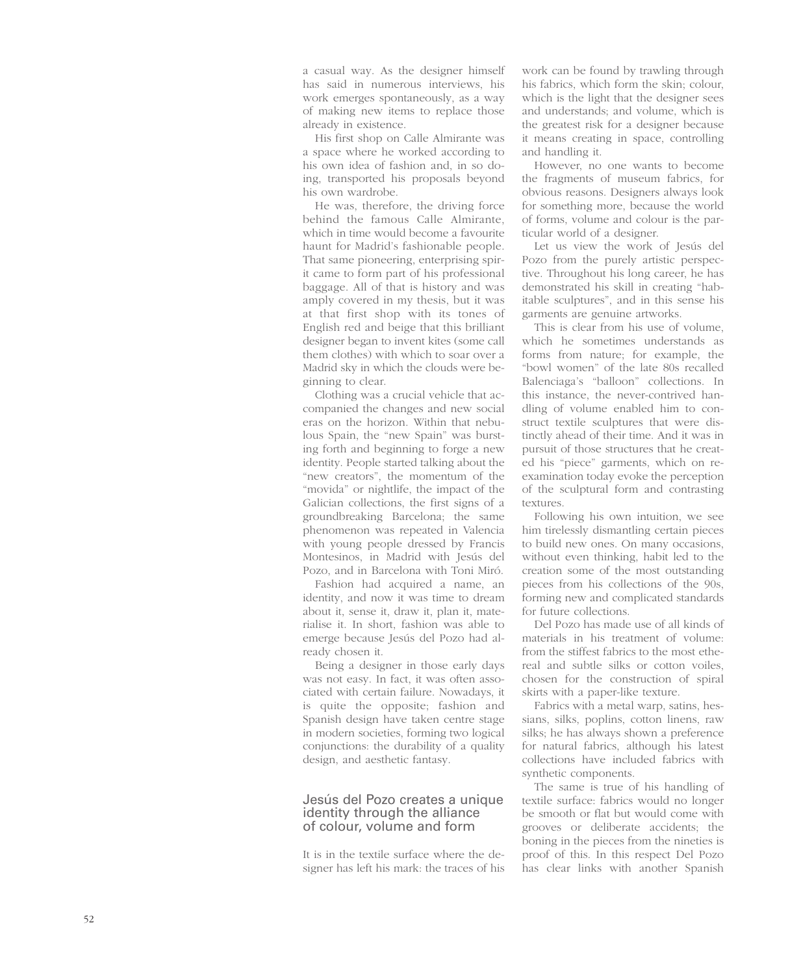a casual way. As the designer himself has said in numerous interviews, his work emerges spontaneously, as a way of making new items to replace those already in existence.

His first shop on Calle Almirante was a space where he worked according to his own idea of fashion and, in so doing, transported his proposals beyond his own wardrobe.

He was, therefore, the driving force behind the famous Calle Almirante, which in time would become a favourite haunt for Madrid's fashionable people. That same pioneering, enterprising spirit came to form part of his professional baggage. All of that is history and was amply covered in my thesis, but it was at that first shop with its tones of English red and beige that this brilliant designer began to invent kites (some call them clothes) with which to soar over a Madrid sky in which the clouds were beginning to clear.

Clothing was a crucial vehicle that accompanied the changes and new social eras on the horizon. Within that nebulous Spain, the "new Spain" was bursting forth and beginning to forge a new identity. People started talking about the "new creators", the momentum of the "movida" or nightlife, the impact of the Galician collections, the first signs of a groundbreaking Barcelona; the same phenomenon was repeated in Valencia with young people dressed by Francis Montesinos, in Madrid with Jesús del Pozo, and in Barcelona with Toni Miró.

Fashion had acquired a name, an identity, and now it was time to dream about it, sense it, draw it, plan it, materialise it. In short, fashion was able to emerge because Jesús del Pozo had already chosen it.

Being a designer in those early days was not easy. In fact, it was often associated with certain failure. Nowadays, it is quite the opposite; fashion and Spanish design have taken centre stage in modern societies, forming two logical conjunctions: the durability of a quality design, and aesthetic fantasy.

#### Jesús del Pozo creates a unique identity through the alliance of colour, volume and form

It is in the textile surface where the designer has left his mark: the traces of his

work can be found by trawling through his fabrics, which form the skin; colour, which is the light that the designer sees and understands; and volume, which is the greatest risk for a designer because it means creating in space, controlling and handling it.

However, no one wants to become the fragments of museum fabrics, for obvious reasons. Designers always look for something more, because the world of forms, volume and colour is the particular world of a designer.

Let us view the work of Jesús del Pozo from the purely artistic perspective. Throughout his long career, he has demonstrated his skill in creating "habitable sculptures", and in this sense his garments are genuine artworks.

This is clear from his use of volume, which he sometimes understands as forms from nature; for example, the "bowl women" of the late 80s recalled Balenciaga's "balloon" collections. In this instance, the never-contrived handling of volume enabled him to construct textile sculptures that were distinctly ahead of their time. And it was in pursuit of those structures that he created his "piece" garments, which on reexamination today evoke the perception of the sculptural form and contrasting textures.

Following his own intuition, we see him tirelessly dismantling certain pieces to build new ones. On many occasions, without even thinking, habit led to the creation some of the most outstanding pieces from his collections of the 90s, forming new and complicated standards for future collections.

Del Pozo has made use of all kinds of materials in his treatment of volume: from the stiffest fabrics to the most ethereal and subtle silks or cotton voiles, chosen for the construction of spiral skirts with a paper-like texture.

Fabrics with a metal warp, satins, hessians, silks, poplins, cotton linens, raw silks; he has always shown a preference for natural fabrics, although his latest collections have included fabrics with synthetic components.

The same is true of his handling of textile surface: fabrics would no longer be smooth or flat but would come with grooves or deliberate accidents; the boning in the pieces from the nineties is proof of this. In this respect Del Pozo has clear links with another Spanish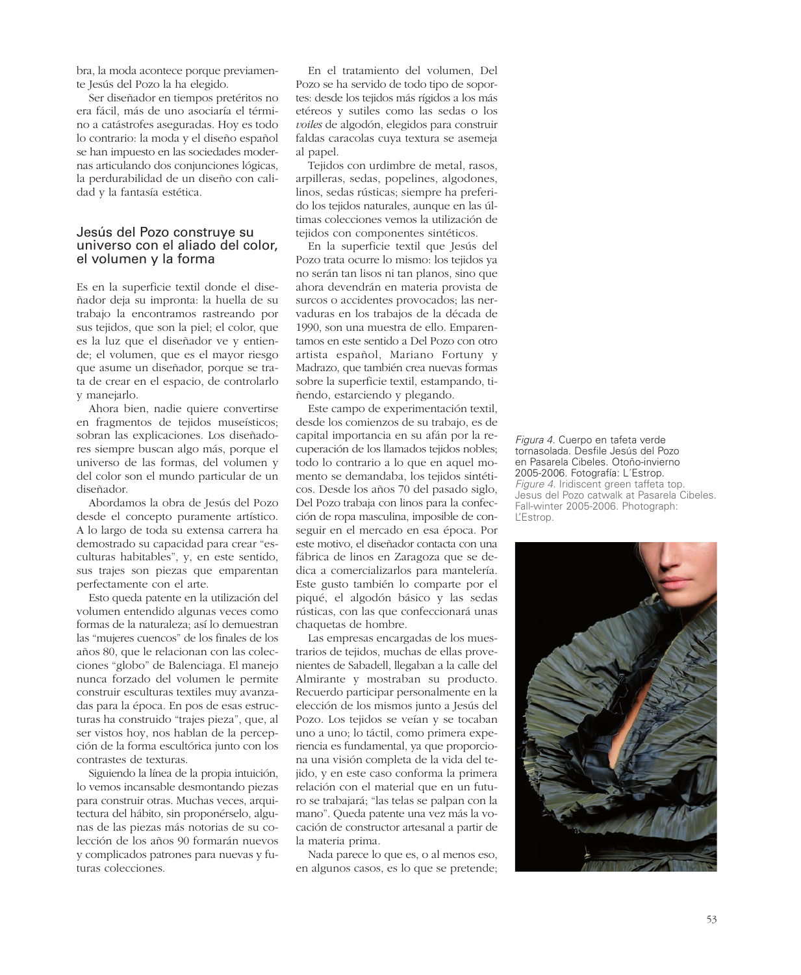bra, la moda acontece porque previamente Jesús del Pozo la ha elegido.

Ser diseñador en tiempos pretéritos no era fácil, más de uno asociaría el término a catástrofes aseguradas. Hoy es todo lo contrario: la moda y el diseño español se han impuesto en las sociedades modernas articulando dos conjunciones lógicas, la perdurabilidad de un diseño con calidad y la fantasía estética.

#### Jesús del Pozo construye su universo con el aliado del color, el volumen y la forma

Es en la superficie textil donde el diseñador deja su impronta: la huella de su trabajo la encontramos rastreando por sus tejidos, que son la piel; el color, que es la luz que el diseñador ve y entiende; el volumen, que es el mayor riesgo que asume un diseñador, porque se trata de crear en el espacio, de controlarlo y manejarlo.

Ahora bien, nadie quiere convertirse en fragmentos de tejidos museísticos; sobran las explicaciones. Los diseñadores siempre buscan algo más, porque el universo de las formas, del volumen y del color son el mundo particular de un diseñador.

Abordamos la obra de Jesús del Pozo desde el concepto puramente artístico. A lo largo de toda su extensa carrera ha demostrado su capacidad para crear "esculturas habitables", y, en este sentido, sus trajes son piezas que emparentan perfectamente con el arte.

Esto queda patente en la utilización del volumen entendido algunas veces como formas de la naturaleza; así lo demuestran las "mujeres cuencos" de los finales de los años 80, que le relacionan con las colecciones "globo" de Balenciaga. El manejo nunca forzado del volumen le permite construir esculturas textiles muy avanzadas para la época. En pos de esas estructuras ha construido "trajes pieza", que, al ser vistos hoy, nos hablan de la percepción de la forma escultórica junto con los contrastes de texturas.

Siguiendo la línea de la propia intuición, lo vemos incansable desmontando piezas para construir otras. Muchas veces, arquitectura del hábito, sin proponérselo, algunas de las piezas más notorias de su colección de los años 90 formarán nuevos y complicados patrones para nuevas y futuras colecciones.

En el tratamiento del volumen, Del Pozo se ha servido de todo tipo de soportes: desde los tejidos más rígidos a los más etéreos y sutiles como las sedas o los *voiles* de algodón, elegidos para construir faldas caracolas cuya textura se asemeja al papel.

Tejidos con urdimbre de metal, rasos, arpilleras, sedas, popelines, algodones, linos, sedas rústicas; siempre ha preferido los tejidos naturales, aunque en las últimas colecciones vemos la utilización de tejidos con componentes sintéticos.

En la superficie textil que Jesús del Pozo trata ocurre lo mismo: los tejidos ya no serán tan lisos ni tan planos, sino que ahora devendrán en materia provista de surcos o accidentes provocados; las nervaduras en los trabajos de la década de 1990, son una muestra de ello. Emparentamos en este sentido a Del Pozo con otro artista español, Mariano Fortuny y Madrazo, que también crea nuevas formas sobre la superficie textil, estampando, tiñendo, estarciendo y plegando.

Este campo de experimentación textil, desde los comienzos de su trabajo, es de capital importancia en su afán por la recuperación de los llamados tejidos nobles; todo lo contrario a lo que en aquel momento se demandaba, los tejidos sintéticos. Desde los años 70 del pasado siglo, Del Pozo trabaja con linos para la confección de ropa masculina, imposible de conseguir en el mercado en esa época. Por este motivo, el diseñador contacta con una fábrica de linos en Zaragoza que se dedica a comercializarlos para mantelería. Este gusto también lo comparte por el piqué, el algodón básico y las sedas rústicas, con las que confeccionará unas chaquetas de hombre.

Las empresas encargadas de los muestrarios de tejidos, muchas de ellas provenientes de Sabadell, llegaban a la calle del Almirante y mostraban su producto. Recuerdo participar personalmente en la elección de los mismos junto a Jesús del Pozo. Los tejidos se veían y se tocaban uno a uno; lo táctil, como primera experiencia es fundamental, ya que proporciona una visión completa de la vida del tejido, y en este caso conforma la primera relación con el material que en un futuro se trabajará; "las telas se palpan con la mano". Queda patente una vez más la vocación de constructor artesanal a partir de la materia prima.

Nada parece lo que es, o al menos eso, en algunos casos, es lo que se pretende; *Figura 4. Cuerpo en tafeta verde tornasolada. Desfile Jesús del Pozo en Pasarela Cibeles. Otoño-invierno 2005-2006. Fotografía: L´Estrop. Figure 4. Iridiscent green taffeta top. Jesus del Pozo catwalk at Pasarela Cibeles. Fall-winter 2005-2006. Photograph: L'Estrop.*

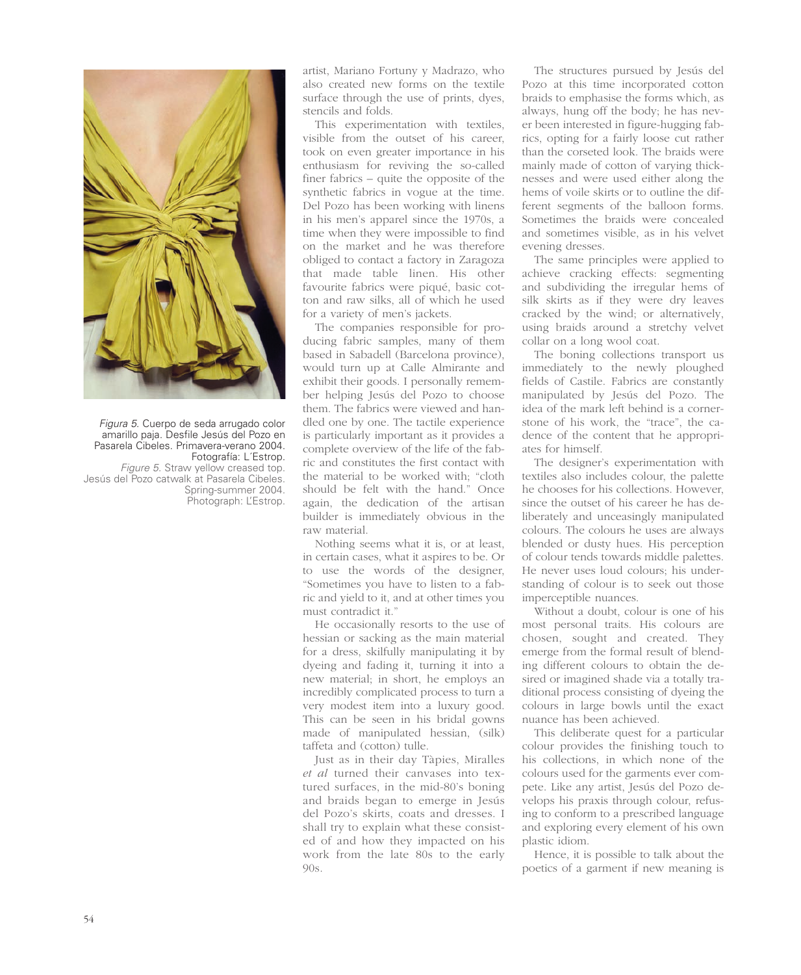

*Figura 5. Cuerpo de seda arrugado color amarillo paja. Desfile Jesús del Pozo en Pasarela Cibeles. Primavera-verano 2004. Fotografía: L´Estrop. Figure 5. Straw yellow creased top. Jesús del Pozo catwalk at Pasarela Cibeles. Spring-summer 2004. Photograph: L'Estrop.*

artist, Mariano Fortuny y Madrazo, who also created new forms on the textile surface through the use of prints, dyes, stencils and folds.

This experimentation with textiles, visible from the outset of his career, took on even greater importance in his enthusiasm for reviving the so-called finer fabrics – quite the opposite of the synthetic fabrics in vogue at the time. Del Pozo has been working with linens in his men's apparel since the 1970s, a time when they were impossible to find on the market and he was therefore obliged to contact a factory in Zaragoza that made table linen. His other favourite fabrics were piqué, basic cotton and raw silks, all of which he used for a variety of men's jackets.

The companies responsible for producing fabric samples, many of them based in Sabadell (Barcelona province), would turn up at Calle Almirante and exhibit their goods. I personally remember helping Jesús del Pozo to choose them. The fabrics were viewed and handled one by one. The tactile experience is particularly important as it provides a complete overview of the life of the fabric and constitutes the first contact with the material to be worked with; "cloth should be felt with the hand." Once again, the dedication of the artisan builder is immediately obvious in the raw material.

Nothing seems what it is, or at least, in certain cases, what it aspires to be. Or to use the words of the designer, "Sometimes you have to listen to a fabric and yield to it, and at other times you must contradict it."

He occasionally resorts to the use of hessian or sacking as the main material for a dress, skilfully manipulating it by dyeing and fading it, turning it into a new material; in short, he employs an incredibly complicated process to turn a very modest item into a luxury good. This can be seen in his bridal gowns made of manipulated hessian, (silk) taffeta and (cotton) tulle.

Just as in their day Tàpies, Miralles *et al* turned their canvases into textured surfaces, in the mid-80's boning and braids began to emerge in Jesús del Pozo's skirts, coats and dresses. I shall try to explain what these consisted of and how they impacted on his work from the late 80s to the early 90s.

The structures pursued by Jesús del Pozo at this time incorporated cotton braids to emphasise the forms which, as always, hung off the body; he has never been interested in figure-hugging fabrics, opting for a fairly loose cut rather than the corseted look. The braids were mainly made of cotton of varying thicknesses and were used either along the hems of voile skirts or to outline the different segments of the balloon forms. Sometimes the braids were concealed and sometimes visible, as in his velvet evening dresses.

The same principles were applied to achieve cracking effects: segmenting and subdividing the irregular hems of silk skirts as if they were dry leaves cracked by the wind; or alternatively, using braids around a stretchy velvet collar on a long wool coat.

The boning collections transport us immediately to the newly ploughed fields of Castile. Fabrics are constantly manipulated by Jesús del Pozo. The idea of the mark left behind is a cornerstone of his work, the "trace", the cadence of the content that he appropriates for himself.

The designer's experimentation with textiles also includes colour, the palette he chooses for his collections. However, since the outset of his career he has deliberately and unceasingly manipulated colours. The colours he uses are always blended or dusty hues. His perception of colour tends towards middle palettes. He never uses loud colours; his understanding of colour is to seek out those imperceptible nuances.

Without a doubt, colour is one of his most personal traits. His colours are chosen, sought and created. They emerge from the formal result of blending different colours to obtain the desired or imagined shade via a totally traditional process consisting of dyeing the colours in large bowls until the exact nuance has been achieved.

This deliberate quest for a particular colour provides the finishing touch to his collections, in which none of the colours used for the garments ever compete. Like any artist, Jesús del Pozo develops his praxis through colour, refusing to conform to a prescribed language and exploring every element of his own plastic idiom.

Hence, it is possible to talk about the poetics of a garment if new meaning is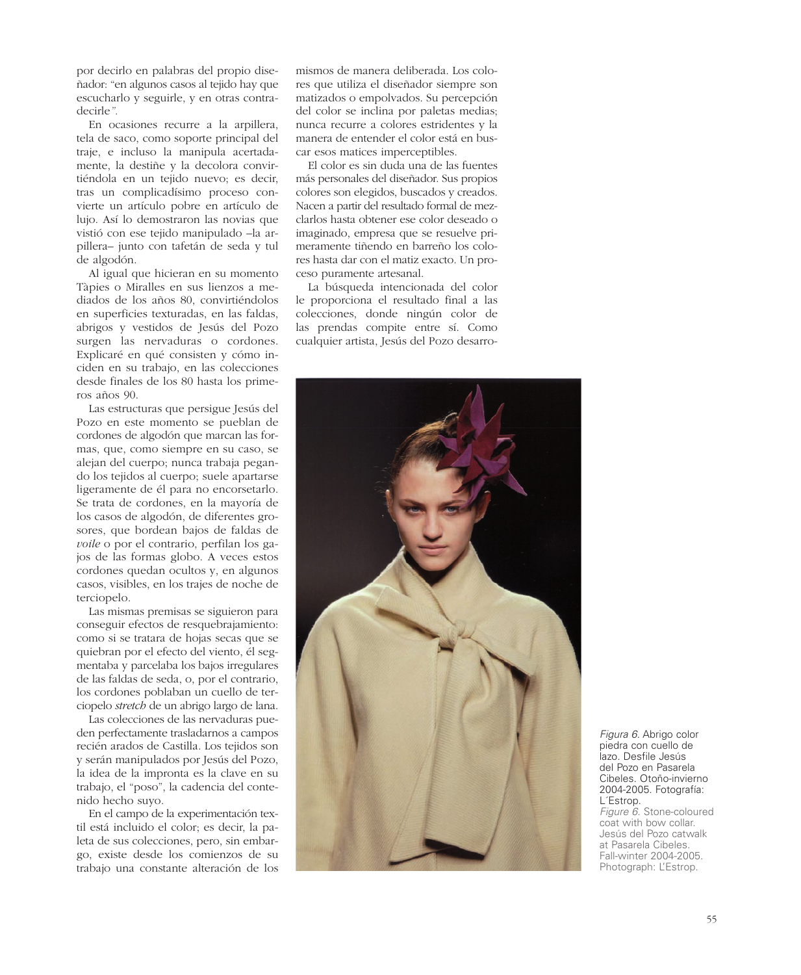por decirlo en palabras del propio diseñador: "en algunos casos al tejido hay que escucharlo y seguirle, y en otras contradecirle*".* 

En ocasiones recurre a la arpillera, tela de saco, como soporte principal del traje, e incluso la manipula acertadamente, la destiñe y la decolora convirtiéndola en un tejido nuevo; es decir, tras un complicadísimo proceso convierte un artículo pobre en artículo de lujo. Así lo demostraron las novias que vistió con ese tejido manipulado –la arpillera– junto con tafetán de seda y tul de algodón.

Al igual que hicieran en su momento Tàpies o Miralles en sus lienzos a mediados de los años 80, convirtiéndolos en superficies texturadas, en las faldas, abrigos y vestidos de Jesús del Pozo surgen las nervaduras o cordones. Explicaré en qué consisten y cómo inciden en su trabajo, en las colecciones desde finales de los 80 hasta los primeros años 90.

Las estructuras que persigue Jesús del Pozo en este momento se pueblan de cordones de algodón que marcan las formas, que, como siempre en su caso, se alejan del cuerpo; nunca trabaja pegando los tejidos al cuerpo; suele apartarse ligeramente de él para no encorsetarlo. Se trata de cordones, en la mayoría de los casos de algodón, de diferentes grosores, que bordean bajos de faldas de *voile* o por el contrario, perfilan los gajos de las formas globo. A veces estos cordones quedan ocultos y, en algunos casos, visibles, en los trajes de noche de terciopelo.

Las mismas premisas se siguieron para conseguir efectos de resquebrajamiento: como si se tratara de hojas secas que se quiebran por el efecto del viento, él segmentaba y parcelaba los bajos irregulares de las faldas de seda, o, por el contrario, los cordones poblaban un cuello de terciopelo *stretch* de un abrigo largo de lana.

Las colecciones de las nervaduras pueden perfectamente trasladarnos a campos recién arados de Castilla. Los tejidos son y serán manipulados por Jesús del Pozo, la idea de la impronta es la clave en su trabajo, el "poso", la cadencia del contenido hecho suyo.

En el campo de la experimentación textil está incluido el color; es decir, la paleta de sus colecciones, pero, sin embargo, existe desde los comienzos de su trabajo una constante alteración de los

mismos de manera deliberada. Los colores que utiliza el diseñador siempre son matizados o empolvados. Su percepción del color se inclina por paletas medias; nunca recurre a colores estridentes y la manera de entender el color está en buscar esos matices imperceptibles.

El color es sin duda una de las fuentes más personales del diseñador. Sus propios colores son elegidos, buscados y creados. Nacen a partir del resultado formal de mezclarlos hasta obtener ese color deseado o imaginado, empresa que se resuelve primeramente tiñendo en barreño los colores hasta dar con el matiz exacto. Un proceso puramente artesanal.

La búsqueda intencionada del color le proporciona el resultado final a las colecciones, donde ningún color de las prendas compite entre sí. Como cualquier artista, Jesús del Pozo desarro-



*Figura 6. Abrigo color piedra con cuello de lazo. Desfile Jesús del Pozo en Pasarela Cibeles. Otoño-invierno 2004-2005. Fotografía: L´Estrop. Figure 6. Stone-coloured coat with bow collar. Jesús del Pozo catwalk at Pasarela Cibeles. Fall-winter 2004-2005. Photograph: L'Estrop.*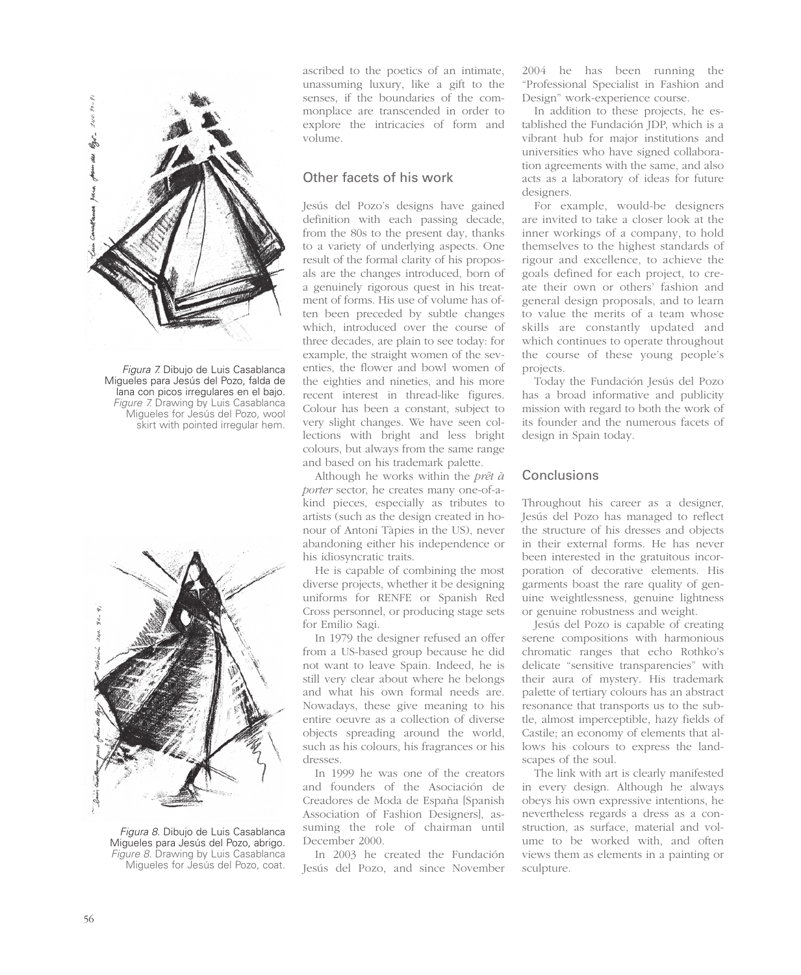

*Figura 7. Dibujo de Luis Casablanca Migueles para Jesús del Pozo, falda de lana con picos irregulares en el bajo. Figure 7. Drawing by Luis Casablanca Migueles for Jesús del Pozo, wool skirt with pointed irregular hem.*



*Figura 8. Dibujo de Luis Casablanca Migueles para Jesús del Pozo, abrigo. Figure 8. Drawing by Luis Casablanca Migueles for Jesús del Pozo, coat.*

ascribed to the poetics of an intimate, unassuming luxury, like a gift to the senses, if the boundaries of the commonplace are transcended in order to explore the intricacies of form and volume.

## Other facets of his work

Jesús del Pozo's designs have gained definition with each passing decade, from the 80s to the present day, thanks to a variety of underlying aspects. One result of the formal clarity of his proposals are the changes introduced, born of a genuinely rigorous quest in his treatment of forms. His use of volume has often been preceded by subtle changes which, introduced over the course of three decades, are plain to see today: for example, the straight women of the seventies, the flower and bowl women of the eighties and nineties, and his more recent interest in thread-like figures. Colour has been a constant, subject to very slight changes. We have seen collections with bright and less bright colours, but always from the same range and based on his trademark palette.

Although he works within the *prêt à porter* sector, he creates many one-of-akind pieces, especially as tributes to artists (such as the design created in honour of Antoni Tàpies in the US), never abandoning either his independence or his idiosyncratic traits.

He is capable of combining the most diverse projects, whether it be designing uniforms for RENFE or Spanish Red Cross personnel, or producing stage sets for Emilio Sagi.

In 1979 the designer refused an offer from a US-based group because he did not want to leave Spain. Indeed, he is still very clear about where he belongs and what his own formal needs are. Nowadays, these give meaning to his entire oeuvre as a collection of diverse objects spreading around the world, such as his colours, his fragrances or his dresses.

In 1999 he was one of the creators and founders of the Asociación de Creadores de Moda de España [Spanish Association of Fashion Designers], assuming the role of chairman until December 2000.

In 2003 he created the Fundación Jesús del Pozo, and since November 2004 he has been running the "Professional Specialist in Fashion and Design" work-experience course.

In addition to these projects, he established the Fundación JDP, which is a vibrant hub for major institutions and universities who have signed collaboration agreements with the same, and also acts as a laboratory of ideas for future designers.

For example, would-be designers are invited to take a closer look at the inner workings of a company, to hold themselves to the highest standards of rigour and excellence, to achieve the goals defined for each project, to create their own or others' fashion and general design proposals, and to learn to value the merits of a team whose skills are constantly updated and which continues to operate throughout the course of these young people's projects.

Today the Fundación Jesús del Pozo has a broad informative and publicity mission with regard to both the work of its founder and the numerous facets of design in Spain today.

#### Conclusions

Throughout his career as a designer, Jesús del Pozo has managed to reflect the structure of his dresses and objects in their external forms. He has never been interested in the gratuitous incorporation of decorative elements. His garments boast the rare quality of genuine weightlessness, genuine lightness or genuine robustness and weight.

Jesús del Pozo is capable of creating serene compositions with harmonious chromatic ranges that echo Rothko's delicate "sensitive transparencies" with their aura of mystery. His trademark palette of tertiary colours has an abstract resonance that transports us to the subtle, almost imperceptible, hazy fields of Castile; an economy of elements that allows his colours to express the landscapes of the soul.

The link with art is clearly manifested in every design. Although he always obeys his own expressive intentions, he nevertheless regards a dress as a construction, as surface, material and volume to be worked with, and often views them as elements in a painting or sculpture.